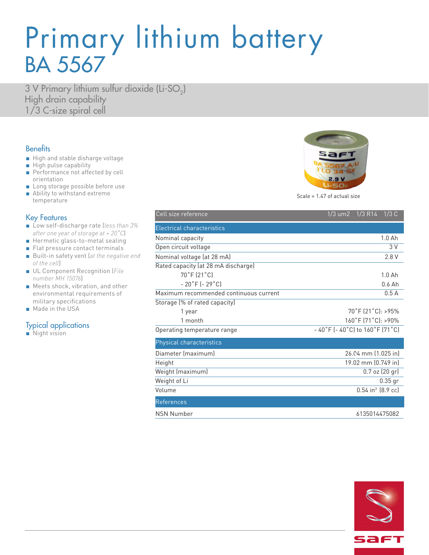# Primary lithium battery BA 5567

3 V Primary lithium sulfur dioxide (Li-SO<sub>2</sub>) High drain capability 1/3 C-size spiral cell

### **Benefits**

- High and stable disharge voltage
- High pulse capability
- Performance not affected by cell orientation
- Long storage possible before use
- Ability to withstand extreme temperature

### Key Features

- Low self-discharge rate (*less than 3% after one year of storage at + 20˚C*)
- Hermetic glass-to-metal sealing
- Flat pressure contact terminals
- Built-in safety vent (at the negative end *of the cell*)
- UL Component Recognition (*File number MH 15076*)
- Meets shock, vibration, and other environmental requirements of military specifications
- Made in the USA

### Typical applications

■ Night vision



Scale = 1.47 of actual size

| Cell size reference                    | 1/3 um2 1/3 R14<br>1/3C                                              |
|----------------------------------------|----------------------------------------------------------------------|
| Electrical characteristics             |                                                                      |
| Nominal capacity                       | 1.0 <sub>Ah</sub>                                                    |
| Open circuit voltage                   | 3V                                                                   |
| Nominal voltage (at 28 mA)             | 2.8 V                                                                |
| Rated capacity (at 28 mA discharge)    |                                                                      |
| 70°F (21°C)                            | $1.0A$ h                                                             |
| $-20$ °F ( $-29$ °C)                   | $0.6$ Ah                                                             |
| Maximum recommended continuous current | 0.5A                                                                 |
| Storage (% of rated capacity)          |                                                                      |
| 1 year                                 | $70^{\circ}$ F (21 $^{\circ}$ C): >95%                               |
| 1 month                                | 160°F (71°C): >90%                                                   |
| Operating temperature range            | $-40\degree$ F (-40 $\degree$ C) to 160 $\degree$ F (71 $\degree$ C) |
| Physical characteristics               |                                                                      |
| Diameter (maximum)                     | 26.04 mm (1.025 in)                                                  |
| Height                                 | 19.02 mm (0.749 in)                                                  |
| Weight (maximum)                       | $0.7$ oz $(20$ gr $)$                                                |
| Weight of Li                           | $0.35$ gr                                                            |
| Volume                                 | $0.54$ in <sup>3</sup> (8.9 cc)                                      |
| <b>References</b>                      |                                                                      |
| <b>NSN Number</b>                      | 6135014475082                                                        |